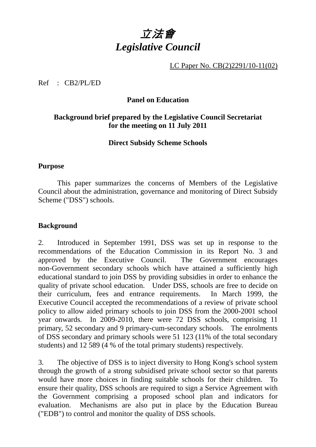

LC Paper No. CB(2)2291/10-11(02)

Ref : CB2/PL/ED

# **Panel on Education**

# **Background brief prepared by the Legislative Council Secretariat for the meeting on 11 July 2011**

# **Direct Subsidy Scheme Schools**

### **Purpose**

1 This paper summarizes the concerns of Members of the Legislative Council about the administration, governance and monitoring of Direct Subsidy Scheme ("DSS") schools.

# **Background**

2. Introduced in September 1991, DSS was set up in response to the recommendations of the Education Commission in its Report No. 3 and approved by the Executive Council. The Government encourages non-Government secondary schools which have attained a sufficiently high educational standard to join DSS by providing subsidies in order to enhance the quality of private school education. Under DSS, schools are free to decide on their curriculum, fees and entrance requirements. In March 1999, the Executive Council accepted the recommendations of a review of private school policy to allow aided primary schools to join DSS from the 2000-2001 school year onwards. In 2009-2010, there were 72 DSS schools, comprising 11 primary, 52 secondary and 9 primary-cum-secondary schools. The enrolments of DSS secondary and primary schools were 51 123 (11% of the total secondary students) and 12 589 (4 % of the total primary students) respectively.

3. The objective of DSS is to inject diversity to Hong Kong's school system through the growth of a strong subsidised private school sector so that parents would have more choices in finding suitable schools for their children. To ensure their quality, DSS schools are required to sign a Service Agreement with the Government comprising a proposed school plan and indicators for evaluation. Mechanisms are also put in place by the Education Bureau ("EDB") to control and monitor the quality of DSS schools.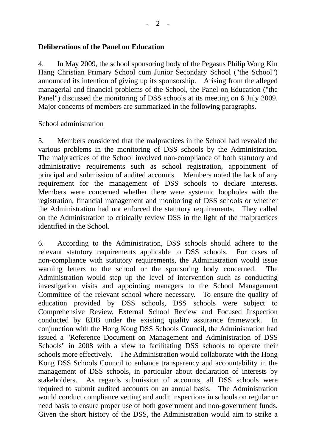# **Deliberations of the Panel on Education**

4. In May 2009, the school sponsoring body of the Pegasus Philip Wong Kin Hang Christian Primary School cum Junior Secondary School ("the School") announced its intention of giving up its sponsorship. Arising from the alleged managerial and financial problems of the School, the Panel on Education ("the Panel") discussed the monitoring of DSS schools at its meeting on 6 July 2009. Major concerns of members are summarized in the following paragraphs.

### School administration

5. Members considered that the malpractices in the School had revealed the various problems in the monitoring of DSS schools by the Administration. The malpractices of the School involved non-compliance of both statutory and administrative requirements such as school registration, appointment of principal and submission of audited accounts. Members noted the lack of any requirement for the management of DSS schools to declare interests. Members were concerned whether there were systemic loopholes with the registration, financial management and monitoring of DSS schools or whether the Administration had not enforced the statutory requirements. They called on the Administration to critically review DSS in the light of the malpractices identified in the School.

6. According to the Administration, DSS schools should adhere to the relevant statutory requirements applicable to DSS schools. For cases of non-compliance with statutory requirements, the Administration would issue warning letters to the school or the sponsoring body concerned. The Administration would step up the level of intervention such as conducting investigation visits and appointing managers to the School Management Committee of the relevant school where necessary. To ensure the quality of education provided by DSS schools, DSS schools were subject to Comprehensive Review, External School Review and Focused Inspection conducted by EDB under the existing quality assurance framework. In conjunction with the Hong Kong DSS Schools Council, the Administration had issued a "Reference Document on Management and Administration of DSS Schools" in 2008 with a view to facilitating DSS schools to operate their schools more effectively. The Administration would collaborate with the Hong Kong DSS Schools Council to enhance transparency and accountability in the management of DSS schools, in particular about declaration of interests by stakeholders. As regards submission of accounts, all DSS schools were required to submit audited accounts on an annual basis. The Administration would conduct compliance vetting and audit inspections in schools on regular or need basis to ensure proper use of both government and non-government funds. Given the short history of the DSS, the Administration would aim to strike a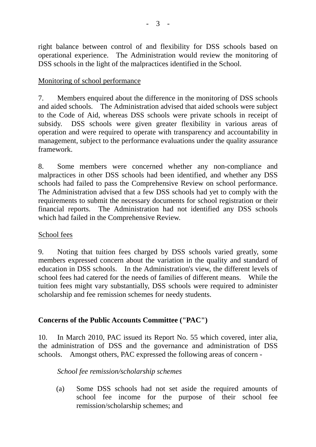right balance between control of and flexibility for DSS schools based on operational experience. The Administration would review the monitoring of DSS schools in the light of the malpractices identified in the School.

# Monitoring of school performance

7. Members enquired about the difference in the monitoring of DSS schools and aided schools. The Administration advised that aided schools were subject to the Code of Aid, whereas DSS schools were private schools in receipt of subsidy. DSS schools were given greater flexibility in various areas of operation and were required to operate with transparency and accountability in management, subject to the performance evaluations under the quality assurance framework.

8. Some members were concerned whether any non-compliance and malpractices in other DSS schools had been identified, and whether any DSS schools had failed to pass the Comprehensive Review on school performance. The Administration advised that a few DSS schools had yet to comply with the requirements to submit the necessary documents for school registration or their financial reports. The Administration had not identified any DSS schools which had failed in the Comprehensive Review.

# School fees

9. Noting that tuition fees charged by DSS schools varied greatly, some members expressed concern about the variation in the quality and standard of education in DSS schools. In the Administration's view, the different levels of school fees had catered for the needs of families of different means. While the tuition fees might vary substantially, DSS schools were required to administer scholarship and fee remission schemes for needy students.

# **Concerns of the Public Accounts Committee ("PAC")**

10. In March 2010, PAC issued its Report No. 55 which covered, inter alia, the administration of DSS and the governance and administration of DSS schools. Amongst others, PAC expressed the following areas of concern -

# *School fee remission/scholarship schemes*

(a) Some DSS schools had not set aside the required amounts of school fee income for the purpose of their school fee remission/scholarship schemes; and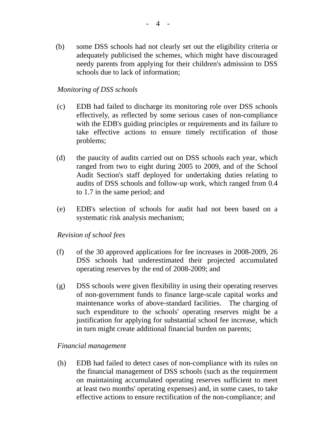(b) some DSS schools had not clearly set out the eligibility criteria or adequately publicised the schemes, which might have discouraged needy parents from applying for their children's admission to DSS schools due to lack of information;

# *Monitoring of DSS schools*

- (c) EDB had failed to discharge its monitoring role over DSS schools effectively, as reflected by some serious cases of non-compliance with the EDB's guiding principles or requirements and its failure to take effective actions to ensure timely rectification of those problems;
- (d) the paucity of audits carried out on DSS schools each year, which ranged from two to eight during 2005 to 2009, and of the School Audit Section's staff deployed for undertaking duties relating to audits of DSS schools and follow-up work, which ranged from 0.4 to 1.7 in the same period; and
- (e) EDB's selection of schools for audit had not been based on a systematic risk analysis mechanism;

### *Revision of school fees*

- (f) of the 30 approved applications for fee increases in 2008-2009, 26 DSS schools had underestimated their projected accumulated operating reserves by the end of 2008-2009; and
- (g) DSS schools were given flexibility in using their operating reserves of non-government funds to finance large-scale capital works and maintenance works of above-standard facilities. The charging of such expenditure to the schools' operating reserves might be a justification for applying for substantial school fee increase, which in turn might create additional financial burden on parents;

### *Financial management*

(h) EDB had failed to detect cases of non-compliance with its rules on the financial management of DSS schools (such as the requirement on maintaining accumulated operating reserves sufficient to meet at least two months' operating expenses) and, in some cases, to take effective actions to ensure rectification of the non-compliance; and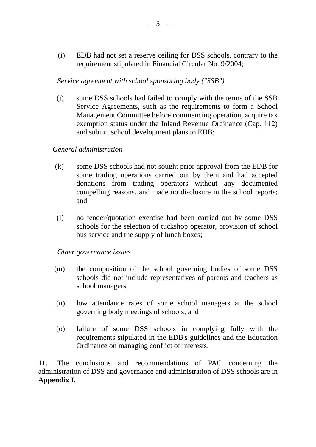(i) EDB had not set a reserve ceiling for DSS schools, contrary to the requirement stipulated in Financial Circular No. 9/2004;

### *Service agreement with school sponsoring body ("SSB")*

(j) some DSS schools had failed to comply with the terms of the SSB Service Agreements, such as the requirements to form a School Management Committee before commencing operation, acquire tax exemption status under the Inland Revenue Ordinance (Cap. 112) and submit school development plans to EDB;

### *General administration*

- (k) some DSS schools had not sought prior approval from the EDB for some trading operations carried out by them and had accepted donations from trading operators without any documented compelling reasons, and made no disclosure in the school reports; and
- (l) no tender/quotation exercise had been carried out by some DSS schools for the selection of tuckshop operator, provision of school bus service and the supply of lunch boxes;

### *Other governance issues*

- (m) the composition of the school governing bodies of some DSS schools did not include representatives of parents and teachers as school managers;
- (n) low attendance rates of some school managers at the school governing body meetings of schools; and
- (o) failure of some DSS schools in complying fully with the requirements stipulated in the EDB's guidelines and the Education Ordinance on managing conflict of interests.

11. The conclusions and recommendations of PAC concerning the administration of DSS and governance and administration of DSS schools are in **Appendix I.**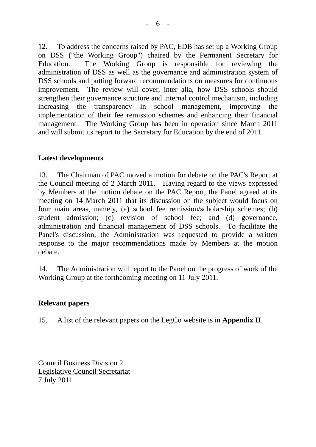12. To address the concerns raised by PAC, EDB has set up a Working Group on DSS ("the Working Group") chaired by the Permanent Secretary for Education. The Working Group is responsible for reviewing the administration of DSS as well as the governance and administration system of DSS schools and putting forward recommendations on measures for continuous improvement. The review will cover, inter alia, how DSS schools should strengthen their governance structure and internal control mechanism, including increasing the transparency in school management, improving the implementation of their fee remission schemes and enhancing their financial management. The Working Group has been in operation since March 2011 and will submit its report to the Secretary for Education by the end of 2011.

# **Latest developments**

13. The Chairman of PAC moved a motion for debate on the PAC's Report at the Council meeting of 2 March 2011. Having regard to the views expressed by Members at the motion debate on the PAC Report, the Panel agreed at its meeting on 14 March 2011 that its discussion on the subject would focus on four main areas, namely, (a) school fee remission/scholarship schemes; (b) student admission; (c) revision of school fee; and (d) governance, administration and financial management of DSS schools. To facilitate the Panel's discussion, the Administration was requested to provide a written response to the major recommendations made by Members at the motion debate.

14. The Administration will report to the Panel on the progress of work of the Working Group at the forthcoming meeting on 11 July 2011.

# **Relevant papers**

15. A list of the relevant papers on the LegCo website is in **Appendix II**.

Council Business Division 2 Legislative Council Secretariat 7 July 2011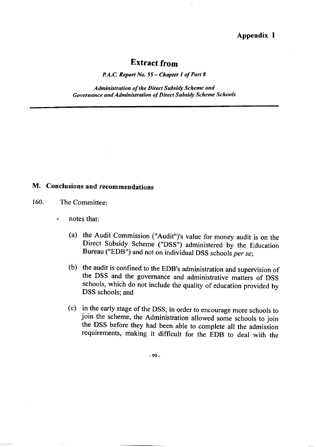#### **Appendix I**

# **Extract from**

Ť

P.A.C. Report No. 55 – Chapter 1 of Part 8

**Administration of the Direct Subsidy Scheme and Governance and Administration of Direct Subsidy Scheme Schools** 

# M. Conclusions and recommendations

- 160. The Committee<sup>.</sup>
	- notes that: L.
		- (a) the Audit Commission ("Audit")'s value for money audit is on the Direct Subsidy Scheme ("DSS") administered by the Education Bureau ("EDB") and not on individual DSS schools per se;
		- (b) the audit is confined to the EDB's administration and supervision of the DSS and the governance and administrative matters of DSS schools, which do not include the quality of education provided by DSS schools; and
		- (c) in the early stage of the DSS, in order to encourage more schools to join the scheme, the Administration allowed some schools to join the DSS before they had been able to complete all the admission requirements, making it difficult for the EDB to deal with the

 $-99-$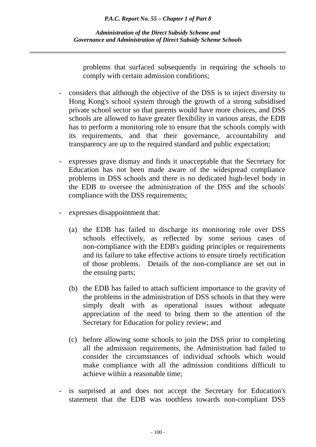problems that surfaced subsequently in requiring the schools to comply with certain admission conditions;

- considers that although the objective of the DSS is to inject diversity to Hong Kong's school system through the growth of a strong subsidised private school sector so that parents would have more choices, and DSS schools are allowed to have greater flexibility in various areas, the EDB has to perform a monitoring role to ensure that the schools comply with its requirements, and that their governance, accountability and transparency are up to the required standard and public expectation;
- expresses grave dismay and finds it unacceptable that the Secretary for Education has not been made aware of the widespread compliance problems in DSS schools and there is no dedicated high-level body in the EDB to oversee the administration of the DSS and the schools' compliance with the DSS requirements;
- expresses disappointment that:
	- (a) the EDB has failed to discharge its monitoring role over DSS schools effectively, as reflected by some serious cases of non-compliance with the EDB's guiding principles or requirements and its failure to take effective actions to ensure timely rectification of those problems. Details of the non-compliance are set out in the ensuing parts;
	- (b) the EDB has failed to attach sufficient importance to the gravity of the problems in the administration of DSS schools in that they were simply dealt with as operational issues without adequate appreciation of the need to bring them to the attention of the Secretary for Education for policy review; and
	- (c) before allowing some schools to join the DSS prior to completing all the admission requirements, the Administration had failed to consider the circumstances of individual schools which would make compliance with all the admission conditions difficult to achieve within a reasonable time;
- is surprised at and does not accept the Secretary for Education's statement that the EDB was toothless towards non-compliant DSS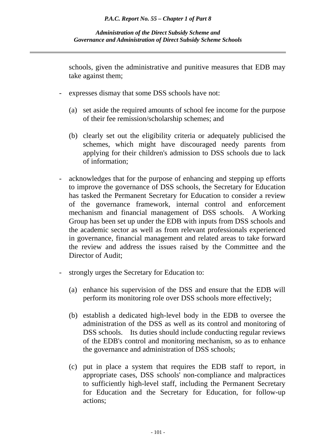schools, given the administrative and punitive measures that EDB may take against them;

- expresses dismay that some DSS schools have not:
	- (a) set aside the required amounts of school fee income for the purpose of their fee remission/scholarship schemes; and
	- (b) clearly set out the eligibility criteria or adequately publicised the schemes, which might have discouraged needy parents from applying for their children's admission to DSS schools due to lack of information;
- acknowledges that for the purpose of enhancing and stepping up efforts to improve the governance of DSS schools, the Secretary for Education has tasked the Permanent Secretary for Education to consider a review of the governance framework, internal control and enforcement mechanism and financial management of DSS schools. A Working Group has been set up under the EDB with inputs from DSS schools and the academic sector as well as from relevant professionals experienced in governance, financial management and related areas to take forward the review and address the issues raised by the Committee and the Director of Audit;
- strongly urges the Secretary for Education to:
	- (a) enhance his supervision of the DSS and ensure that the EDB will perform its monitoring role over DSS schools more effectively;
	- (b) establish a dedicated high-level body in the EDB to oversee the administration of the DSS as well as its control and monitoring of DSS schools. Its duties should include conducting regular reviews of the EDB's control and monitoring mechanism, so as to enhance the governance and administration of DSS schools;
	- (c) put in place a system that requires the EDB staff to report, in appropriate cases, DSS schools' non-compliance and malpractices to sufficiently high-level staff, including the Permanent Secretary for Education and the Secretary for Education, for follow-up actions;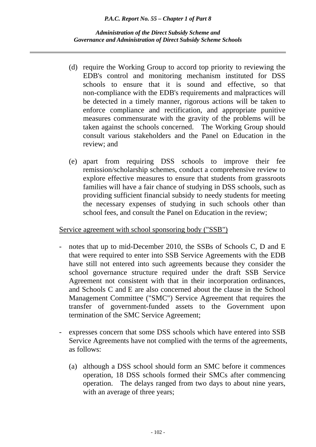*Administration of the Direct Subsidy Scheme and Governance and Administration of Direct Subsidy Scheme Schools*

- (d) require the Working Group to accord top priority to reviewing the EDB's control and monitoring mechanism instituted for DSS schools to ensure that it is sound and effective, so that non-compliance with the EDB's requirements and malpractices will be detected in a timely manner, rigorous actions will be taken to enforce compliance and rectification, and appropriate punitive measures commensurate with the gravity of the problems will be taken against the schools concerned. The Working Group should consult various stakeholders and the Panel on Education in the review; and
- (e) apart from requiring DSS schools to improve their fee remission/scholarship schemes, conduct a comprehensive review to explore effective measures to ensure that students from grassroots families will have a fair chance of studying in DSS schools, such as providing sufficient financial subsidy to needy students for meeting the necessary expenses of studying in such schools other than school fees, and consult the Panel on Education in the review;

### Service agreement with school sponsoring body ("SSB")

- notes that up to mid-December 2010, the SSBs of Schools C, D and E that were required to enter into SSB Service Agreements with the EDB have still not entered into such agreements because they consider the school governance structure required under the draft SSB Service Agreement not consistent with that in their incorporation ordinances, and Schools C and E are also concerned about the clause in the School Management Committee ("SMC") Service Agreement that requires the transfer of government-funded assets to the Government upon termination of the SMC Service Agreement;
- expresses concern that some DSS schools which have entered into SSB Service Agreements have not complied with the terms of the agreements, as follows:
	- (a) although a DSS school should form an SMC before it commences operation, 18 DSS schools formed their SMCs after commencing operation. The delays ranged from two days to about nine years, with an average of three years;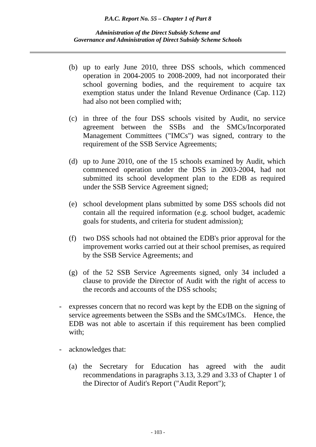- (b) up to early June 2010, three DSS schools, which commenced operation in 2004-2005 to 2008-2009, had not incorporated their school governing bodies, and the requirement to acquire tax exemption status under the Inland Revenue Ordinance (Cap. 112) had also not been complied with;
- (c) in three of the four DSS schools visited by Audit, no service agreement between the SSBs and the SMCs/Incorporated Management Committees ("IMCs") was signed, contrary to the requirement of the SSB Service Agreements;
- (d) up to June 2010, one of the 15 schools examined by Audit, which commenced operation under the DSS in 2003-2004, had not submitted its school development plan to the EDB as required under the SSB Service Agreement signed;
- (e) school development plans submitted by some DSS schools did not contain all the required information (e.g. school budget, academic goals for students, and criteria for student admission);
- (f) two DSS schools had not obtained the EDB's prior approval for the improvement works carried out at their school premises, as required by the SSB Service Agreements; and
- (g) of the 52 SSB Service Agreements signed, only 34 included a clause to provide the Director of Audit with the right of access to the records and accounts of the DSS schools;
- expresses concern that no record was kept by the EDB on the signing of service agreements between the SSBs and the SMCs/IMCs. Hence, the EDB was not able to ascertain if this requirement has been complied with;
- acknowledges that:
	- (a) the Secretary for Education has agreed with the audit recommendations in paragraphs 3.13, 3.29 and 3.33 of Chapter 1 of the Director of Audit's Report ("Audit Report");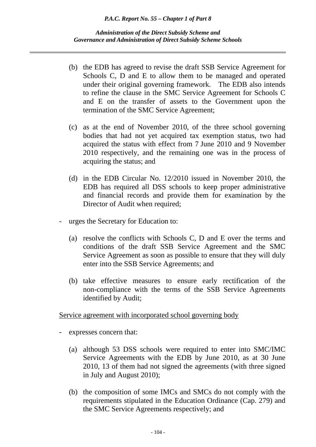*Administration of the Direct Subsidy Scheme and Governance and Administration of Direct Subsidy Scheme Schools*

- (b) the EDB has agreed to revise the draft SSB Service Agreement for Schools C, D and E to allow them to be managed and operated under their original governing framework. The EDB also intends to refine the clause in the SMC Service Agreement for Schools C and E on the transfer of assets to the Government upon the termination of the SMC Service Agreement;
- (c) as at the end of November 2010, of the three school governing bodies that had not yet acquired tax exemption status, two had acquired the status with effect from 7 June 2010 and 9 November 2010 respectively, and the remaining one was in the process of acquiring the status; and
- (d) in the EDB Circular No. 12/2010 issued in November 2010, the EDB has required all DSS schools to keep proper administrative and financial records and provide them for examination by the Director of Audit when required;
- urges the Secretary for Education to:
	- (a) resolve the conflicts with Schools C, D and E over the terms and conditions of the draft SSB Service Agreement and the SMC Service Agreement as soon as possible to ensure that they will duly enter into the SSB Service Agreements; and
	- (b) take effective measures to ensure early rectification of the non-compliance with the terms of the SSB Service Agreements identified by Audit;

Service agreement with incorporated school governing body

- expresses concern that:
	- (a) although 53 DSS schools were required to enter into SMC/IMC Service Agreements with the EDB by June 2010, as at 30 June 2010, 13 of them had not signed the agreements (with three signed in July and August 2010);
	- (b) the composition of some IMCs and SMCs do not comply with the requirements stipulated in the Education Ordinance (Cap. 279) and the SMC Service Agreements respectively; and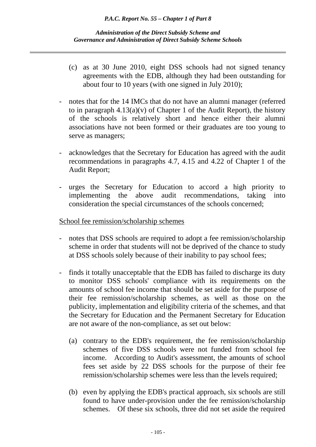- (c) as at 30 June 2010, eight DSS schools had not signed tenancy agreements with the EDB, although they had been outstanding for about four to 10 years (with one signed in July 2010);
- notes that for the 14 IMCs that do not have an alumni manager (referred to in paragraph  $4.13(a)(v)$  of Chapter 1 of the Audit Report), the history of the schools is relatively short and hence either their alumni associations have not been formed or their graduates are too young to serve as managers;
- acknowledges that the Secretary for Education has agreed with the audit recommendations in paragraphs 4.7, 4.15 and 4.22 of Chapter 1 of the Audit Report;
- urges the Secretary for Education to accord a high priority to implementing the above audit recommendations, taking into consideration the special circumstances of the schools concerned;

# School fee remission/scholarship schemes

- notes that DSS schools are required to adopt a fee remission/scholarship scheme in order that students will not be deprived of the chance to study at DSS schools solely because of their inability to pay school fees;
- finds it totally unacceptable that the EDB has failed to discharge its duty to monitor DSS schools' compliance with its requirements on the amounts of school fee income that should be set aside for the purpose of their fee remission/scholarship schemes, as well as those on the publicity, implementation and eligibility criteria of the schemes, and that the Secretary for Education and the Permanent Secretary for Education are not aware of the non-compliance, as set out below:
	- (a) contrary to the EDB's requirement, the fee remission/scholarship schemes of five DSS schools were not funded from school fee income. According to Audit's assessment, the amounts of school fees set aside by 22 DSS schools for the purpose of their fee remission/scholarship schemes were less than the levels required;
	- (b) even by applying the EDB's practical approach, six schools are still found to have under-provision under the fee remission/scholarship schemes. Of these six schools, three did not set aside the required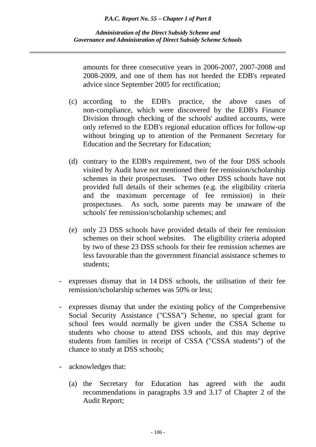amounts for three consecutive years in 2006-2007, 2007-2008 and 2008-2009, and one of them has not heeded the EDB's repeated advice since September 2005 for rectification;

- (c) according to the EDB's practice, the above cases of non-compliance, which were discovered by the EDB's Finance Division through checking of the schools' audited accounts, were only referred to the EDB's regional education offices for follow-up without bringing up to attention of the Permanent Secretary for Education and the Secretary for Education;
- (d) contrary to the EDB's requirement, two of the four DSS schools visited by Audit have not mentioned their fee remission/scholarship schemes in their prospectuses. Two other DSS schools have not provided full details of their schemes (e.g. the eligibility criteria and the maximum percentage of fee remission) in their prospectuses. As such, some parents may be unaware of the schools' fee remission/scholarship schemes; and
- (e) only 23 DSS schools have provided details of their fee remission schemes on their school websites. The eligibility criteria adopted by two of these 23 DSS schools for their fee remission schemes are less favourable than the government financial assistance schemes to students;
- expresses dismay that in 14 DSS schools, the utilisation of their fee remission/scholarship schemes was 50% or less;
- expresses dismay that under the existing policy of the Comprehensive Social Security Assistance ("CSSA") Scheme, no special grant for school fees would normally be given under the CSSA Scheme to students who choose to attend DSS schools, and this may deprive students from families in receipt of CSSA ("CSSA students") of the chance to study at DSS schools;
- acknowledges that:
	- (a) the Secretary for Education has agreed with the audit recommendations in paragraphs 3.9 and 3.17 of Chapter 2 of the Audit Report;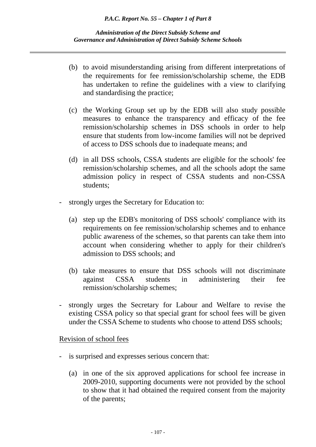- (b) to avoid misunderstanding arising from different interpretations of the requirements for fee remission/scholarship scheme, the EDB has undertaken to refine the guidelines with a view to clarifying and standardising the practice;
- (c) the Working Group set up by the EDB will also study possible measures to enhance the transparency and efficacy of the fee remission/scholarship schemes in DSS schools in order to help ensure that students from low-income families will not be deprived of access to DSS schools due to inadequate means; and
- (d) in all DSS schools, CSSA students are eligible for the schools' fee remission/scholarship schemes, and all the schools adopt the same admission policy in respect of CSSA students and non-CSSA students;
- strongly urges the Secretary for Education to:
	- (a) step up the EDB's monitoring of DSS schools' compliance with its requirements on fee remission/scholarship schemes and to enhance public awareness of the schemes, so that parents can take them into account when considering whether to apply for their children's admission to DSS schools; and
	- (b) take measures to ensure that DSS schools will not discriminate against CSSA students in administering their fee remission/scholarship schemes;
- strongly urges the Secretary for Labour and Welfare to revise the existing CSSA policy so that special grant for school fees will be given under the CSSA Scheme to students who choose to attend DSS schools;

Revision of school fees

- is surprised and expresses serious concern that:
	- (a) in one of the six approved applications for school fee increase in 2009-2010, supporting documents were not provided by the school to show that it had obtained the required consent from the majority of the parents;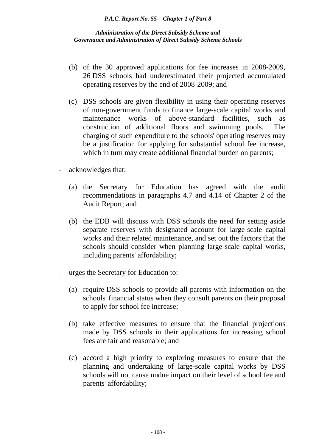- (b) of the 30 approved applications for fee increases in 2008-2009, 26 DSS schools had underestimated their projected accumulated operating reserves by the end of 2008-2009; and
- (c) DSS schools are given flexibility in using their operating reserves of non-government funds to finance large-scale capital works and maintenance works of above-standard facilities, such as construction of additional floors and swimming pools. The charging of such expenditure to the schools' operating reserves may be a justification for applying for substantial school fee increase, which in turn may create additional financial burden on parents;
- acknowledges that:
	- (a) the Secretary for Education has agreed with the audit recommendations in paragraphs 4.7 and 4.14 of Chapter 2 of the Audit Report; and
	- (b) the EDB will discuss with DSS schools the need for setting aside separate reserves with designated account for large-scale capital works and their related maintenance, and set out the factors that the schools should consider when planning large-scale capital works, including parents' affordability;
- urges the Secretary for Education to:
	- (a) require DSS schools to provide all parents with information on the schools' financial status when they consult parents on their proposal to apply for school fee increase;
	- (b) take effective measures to ensure that the financial projections made by DSS schools in their applications for increasing school fees are fair and reasonable; and
	- (c) accord a high priority to exploring measures to ensure that the planning and undertaking of large-scale capital works by DSS schools will not cause undue impact on their level of school fee and parents' affordability;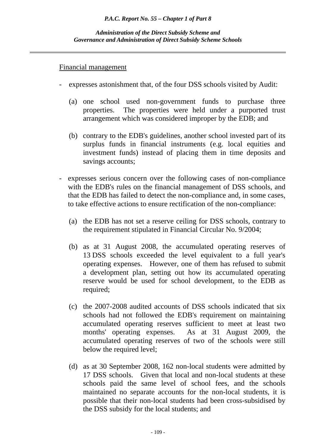### Financial management

- expresses astonishment that, of the four DSS schools visited by Audit:
	- (a) one school used non-government funds to purchase three properties. The properties were held under a purported trust arrangement which was considered improper by the EDB; and
	- (b) contrary to the EDB's guidelines, another school invested part of its surplus funds in financial instruments (e.g. local equities and investment funds) instead of placing them in time deposits and savings accounts;
- expresses serious concern over the following cases of non-compliance with the EDB's rules on the financial management of DSS schools, and that the EDB has failed to detect the non-compliance and, in some cases, to take effective actions to ensure rectification of the non-compliance:
	- (a) the EDB has not set a reserve ceiling for DSS schools, contrary to the requirement stipulated in Financial Circular No. 9/2004;
	- (b) as at 31 August 2008, the accumulated operating reserves of 13 DSS schools exceeded the level equivalent to a full year's operating expenses. However, one of them has refused to submit a development plan, setting out how its accumulated operating reserve would be used for school development, to the EDB as required;
	- (c) the 2007-2008 audited accounts of DSS schools indicated that six schools had not followed the EDB's requirement on maintaining accumulated operating reserves sufficient to meet at least two months' operating expenses. As at 31 August 2009, the accumulated operating reserves of two of the schools were still below the required level;
	- (d) as at 30 September 2008, 162 non-local students were admitted by 17 DSS schools. Given that local and non-local students at these schools paid the same level of school fees, and the schools maintained no separate accounts for the non-local students, it is possible that their non-local students had been cross-subsidised by the DSS subsidy for the local students; and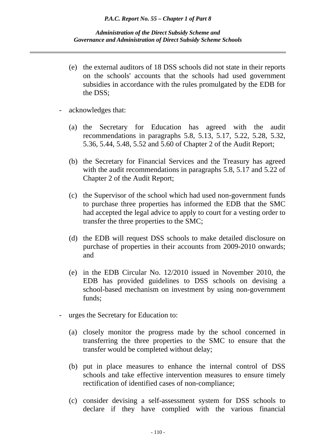- (e) the external auditors of 18 DSS schools did not state in their reports on the schools' accounts that the schools had used government subsidies in accordance with the rules promulgated by the EDB for the DSS;
- acknowledges that:
	- (a) the Secretary for Education has agreed with the audit recommendations in paragraphs 5.8, 5.13, 5.17, 5.22, 5.28, 5.32, 5.36, 5.44, 5.48, 5.52 and 5.60 of Chapter 2 of the Audit Report;
	- (b) the Secretary for Financial Services and the Treasury has agreed with the audit recommendations in paragraphs 5.8, 5.17 and 5.22 of Chapter 2 of the Audit Report;
	- (c) the Supervisor of the school which had used non-government funds to purchase three properties has informed the EDB that the SMC had accepted the legal advice to apply to court for a vesting order to transfer the three properties to the SMC;
	- (d) the EDB will request DSS schools to make detailed disclosure on purchase of properties in their accounts from 2009-2010 onwards; and
	- (e) in the EDB Circular No. 12/2010 issued in November 2010, the EDB has provided guidelines to DSS schools on devising a school-based mechanism on investment by using non-government funds;
- urges the Secretary for Education to:
	- (a) closely monitor the progress made by the school concerned in transferring the three properties to the SMC to ensure that the transfer would be completed without delay;
	- (b) put in place measures to enhance the internal control of DSS schools and take effective intervention measures to ensure timely rectification of identified cases of non-compliance;
	- (c) consider devising a self-assessment system for DSS schools to declare if they have complied with the various financial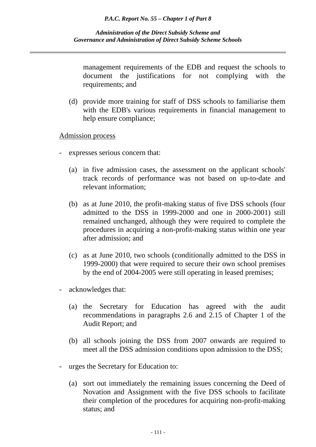management requirements of the EDB and request the schools to document the justifications for not complying with the requirements; and

 (d) provide more training for staff of DSS schools to familiarise them with the EDB's various requirements in financial management to help ensure compliance;

Admission process

- expresses serious concern that:
	- (a) in five admission cases, the assessment on the applicant schools' track records of performance was not based on up-to-date and relevant information;
	- (b) as at June 2010, the profit-making status of five DSS schools (four admitted to the DSS in 1999-2000 and one in 2000-2001) still remained unchanged, although they were required to complete the procedures in acquiring a non-profit-making status within one year after admission; and
	- (c) as at June 2010, two schools (conditionally admitted to the DSS in 1999-2000) that were required to secure their own school premises by the end of 2004-2005 were still operating in leased premises;
- acknowledges that:
	- (a) the Secretary for Education has agreed with the audit recommendations in paragraphs 2.6 and 2.15 of Chapter 1 of the Audit Report; and
	- (b) all schools joining the DSS from 2007 onwards are required to meet all the DSS admission conditions upon admission to the DSS;
- urges the Secretary for Education to:
	- (a) sort out immediately the remaining issues concerning the Deed of Novation and Assignment with the five DSS schools to facilitate their completion of the procedures for acquiring non-profit-making status; and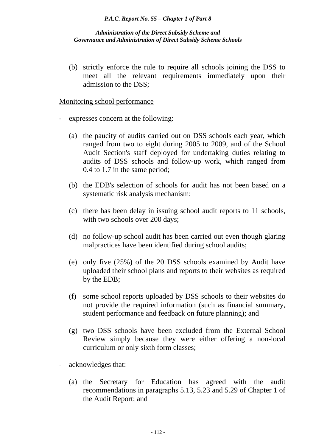#### *Administration of the Direct Subsidy Scheme and Governance and Administration of Direct Subsidy Scheme Schools*

 (b) strictly enforce the rule to require all schools joining the DSS to meet all the relevant requirements immediately upon their admission to the DSS;

### Monitoring school performance

- expresses concern at the following:
	- (a) the paucity of audits carried out on DSS schools each year, which ranged from two to eight during 2005 to 2009, and of the School Audit Section's staff deployed for undertaking duties relating to audits of DSS schools and follow-up work, which ranged from 0.4 to 1.7 in the same period;
	- (b) the EDB's selection of schools for audit has not been based on a systematic risk analysis mechanism;
	- (c) there has been delay in issuing school audit reports to 11 schools, with two schools over 200 days;
	- (d) no follow-up school audit has been carried out even though glaring malpractices have been identified during school audits;
	- (e) only five (25%) of the 20 DSS schools examined by Audit have uploaded their school plans and reports to their websites as required by the EDB;
	- (f) some school reports uploaded by DSS schools to their websites do not provide the required information (such as financial summary, student performance and feedback on future planning); and
	- (g) two DSS schools have been excluded from the External School Review simply because they were either offering a non-local curriculum or only sixth form classes;
- acknowledges that:
	- (a) the Secretary for Education has agreed with the audit recommendations in paragraphs 5.13, 5.23 and 5.29 of Chapter 1 of the Audit Report; and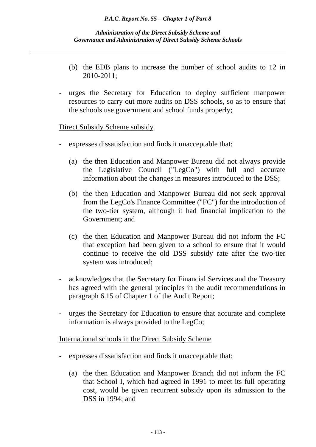- (b) the EDB plans to increase the number of school audits to 12 in 2010-2011;
- urges the Secretary for Education to deploy sufficient manpower resources to carry out more audits on DSS schools, so as to ensure that the schools use government and school funds properly;

# Direct Subsidy Scheme subsidy

- expresses dissatisfaction and finds it unacceptable that:
	- (a) the then Education and Manpower Bureau did not always provide the Legislative Council ("LegCo") with full and accurate information about the changes in measures introduced to the DSS;
	- (b) the then Education and Manpower Bureau did not seek approval from the LegCo's Finance Committee ("FC") for the introduction of the two-tier system, although it had financial implication to the Government; and
	- (c) the then Education and Manpower Bureau did not inform the FC that exception had been given to a school to ensure that it would continue to receive the old DSS subsidy rate after the two-tier system was introduced;
- acknowledges that the Secretary for Financial Services and the Treasury has agreed with the general principles in the audit recommendations in paragraph 6.15 of Chapter 1 of the Audit Report;
- urges the Secretary for Education to ensure that accurate and complete information is always provided to the LegCo;

International schools in the Direct Subsidy Scheme

- expresses dissatisfaction and finds it unacceptable that:
	- (a) the then Education and Manpower Branch did not inform the FC that School I, which had agreed in 1991 to meet its full operating cost, would be given recurrent subsidy upon its admission to the DSS in 1994; and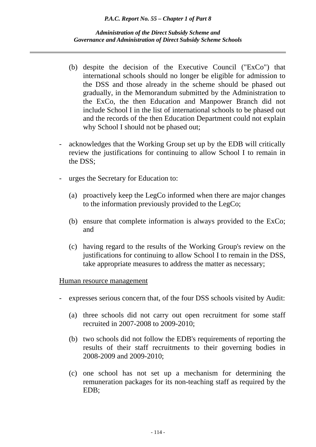*Administration of the Direct Subsidy Scheme and Governance and Administration of Direct Subsidy Scheme Schools*

- (b) despite the decision of the Executive Council ("ExCo") that international schools should no longer be eligible for admission to the DSS and those already in the scheme should be phased out gradually, in the Memorandum submitted by the Administration to the ExCo, the then Education and Manpower Branch did not include School I in the list of international schools to be phased out and the records of the then Education Department could not explain why School I should not be phased out;
- acknowledges that the Working Group set up by the EDB will critically review the justifications for continuing to allow School I to remain in the DSS;
- urges the Secretary for Education to:
	- (a) proactively keep the LegCo informed when there are major changes to the information previously provided to the LegCo;
	- (b) ensure that complete information is always provided to the ExCo; and
	- (c) having regard to the results of the Working Group's review on the justifications for continuing to allow School I to remain in the DSS, take appropriate measures to address the matter as necessary;

# Human resource management

- expresses serious concern that, of the four DSS schools visited by Audit:
	- (a) three schools did not carry out open recruitment for some staff recruited in 2007-2008 to 2009-2010;
	- (b) two schools did not follow the EDB's requirements of reporting the results of their staff recruitments to their governing bodies in 2008-2009 and 2009-2010;
	- (c) one school has not set up a mechanism for determining the remuneration packages for its non-teaching staff as required by the EDB;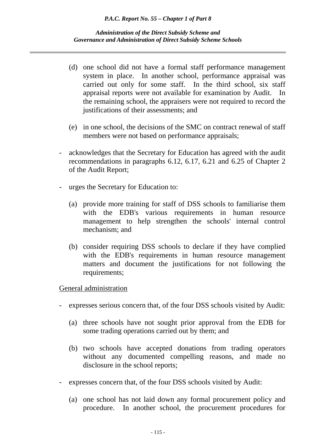- (d) one school did not have a formal staff performance management system in place. In another school, performance appraisal was carried out only for some staff. In the third school, six staff appraisal reports were not available for examination by Audit. In the remaining school, the appraisers were not required to record the justifications of their assessments; and
- (e) in one school, the decisions of the SMC on contract renewal of staff members were not based on performance appraisals;
- acknowledges that the Secretary for Education has agreed with the audit recommendations in paragraphs 6.12, 6.17, 6.21 and 6.25 of Chapter 2 of the Audit Report;
- urges the Secretary for Education to:
	- (a) provide more training for staff of DSS schools to familiarise them with the EDB's various requirements in human resource management to help strengthen the schools' internal control mechanism; and
	- (b) consider requiring DSS schools to declare if they have complied with the EDB's requirements in human resource management matters and document the justifications for not following the requirements;

# General administration

- expresses serious concern that, of the four DSS schools visited by Audit:
	- (a) three schools have not sought prior approval from the EDB for some trading operations carried out by them; and
	- (b) two schools have accepted donations from trading operators without any documented compelling reasons, and made no disclosure in the school reports;
- expresses concern that, of the four DSS schools visited by Audit:
	- (a) one school has not laid down any formal procurement policy and procedure. In another school, the procurement procedures for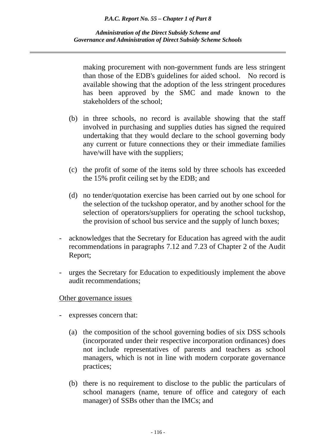making procurement with non-government funds are less stringent than those of the EDB's guidelines for aided school. No record is available showing that the adoption of the less stringent procedures has been approved by the SMC and made known to the stakeholders of the school;

- (b) in three schools, no record is available showing that the staff involved in purchasing and supplies duties has signed the required undertaking that they would declare to the school governing body any current or future connections they or their immediate families have/will have with the suppliers;
- (c) the profit of some of the items sold by three schools has exceeded the 15% profit ceiling set by the EDB; and
- (d) no tender/quotation exercise has been carried out by one school for the selection of the tuckshop operator, and by another school for the selection of operators/suppliers for operating the school tuckshop, the provision of school bus service and the supply of lunch boxes;
- acknowledges that the Secretary for Education has agreed with the audit recommendations in paragraphs 7.12 and 7.23 of Chapter 2 of the Audit Report;
- urges the Secretary for Education to expeditiously implement the above audit recommendations;

### Other governance issues

- expresses concern that:
	- (a) the composition of the school governing bodies of six DSS schools (incorporated under their respective incorporation ordinances) does not include representatives of parents and teachers as school managers, which is not in line with modern corporate governance practices;
	- (b) there is no requirement to disclose to the public the particulars of school managers (name, tenure of office and category of each manager) of SSBs other than the IMCs; and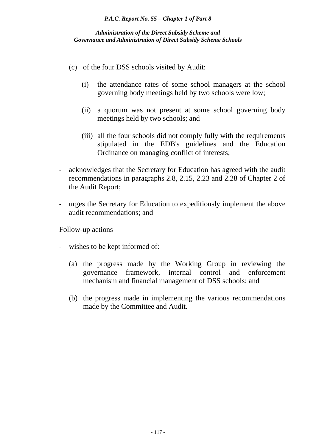- (c) of the four DSS schools visited by Audit:
	- (i) the attendance rates of some school managers at the school governing body meetings held by two schools were low;
	- (ii) a quorum was not present at some school governing body meetings held by two schools; and
	- (iii) all the four schools did not comply fully with the requirements stipulated in the EDB's guidelines and the Education Ordinance on managing conflict of interests;
- acknowledges that the Secretary for Education has agreed with the audit recommendations in paragraphs 2.8, 2.15, 2.23 and 2.28 of Chapter 2 of the Audit Report;
- urges the Secretary for Education to expeditiously implement the above audit recommendations; and

# Follow-up actions

- wishes to be kept informed of:
	- (a) the progress made by the Working Group in reviewing the governance framework, internal control and enforcement mechanism and financial management of DSS schools; and
	- (b) the progress made in implementing the various recommendations made by the Committee and Audit.